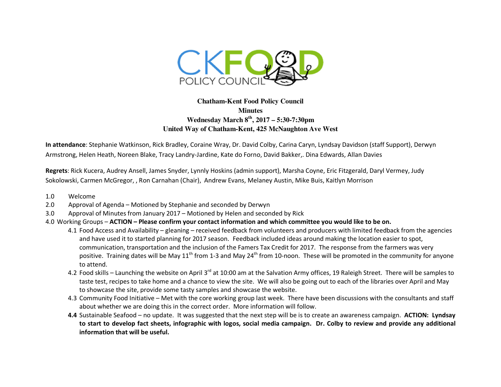

## **Chatham-Kent Food Policy Council Minutes Wednesday March 8th, 2017 – 5:30-7:30pm United Way of Chatham-Kent, 425 McNaughton Ave West**

**In attendance**: Stephanie Watkinson, Rick Bradley, Coraine Wray, Dr. David Colby, Carina Caryn, Lyndsay Davidson (staff Support), Derwyn Armstrong, Helen Heath, Noreen Blake, Tracy Landry-Jardine, Kate do Forno, David Bakker,. Dina Edwards, Allan Davies

**Regrets**: Rick Kucera, Audrey Ansell, James Snyder, Lynnly Hoskins (admin support), Marsha Coyne, Eric Fitzgerald, Daryl Vermey, Judy Sokolowski, Carmen McGregor, , Ron Carnahan (Chair), Andrew Evans, Melaney Austin, Mike Buis, Kaitlyn Morrison

- 1.0 Welcome
- 2.0 Approval of Agenda Motioned by Stephanie and seconded by Derwyn
- 3.0 Approval of Minutes from January 2017 Motioned by Helen and seconded by Rick
- 4.0 Working Groups **ACTION Please confirm your contact information and which committee you would like to be on.**
	- 4.1 Food Access and Availability gleaning received feedback from volunteers and producers with limited feedback from the agencies and have used it to started planning for 2017 season. Feedback included ideas around making the location easier to spot, communication, transportation and the inclusion of the Famers Tax Credit for 2017. The response from the farmers was very positive. Training dates will be May 11<sup>th</sup> from 1-3 and May 24<sup>th</sup> from 10-noon. These will be promoted in the community for anyone to attend.
	- 4.2 Food skills Launching the website on April 3<sup>rd</sup> at 10:00 am at the Salvation Army offices, 19 Raleigh Street. There will be samples to taste test, recipes to take home and a chance to view the site. We will also be going out to each of the libraries over April and May to showcase the site, provide some tasty samples and showcase the website.
	- 4.3 Community Food Initiative Met with the core working group last week. There have been discussions with the consultants and staff about whether we are doing this in the correct order. More information will follow.
	- **4.4** Sustainable Seafood no update. It was suggested that the next step will be is to create an awareness campaign. **ACTION: Lyndsay to start to develop fact sheets, infographic with logos, social media campaign. Dr. Colby to review and provide any additional information that will be useful.**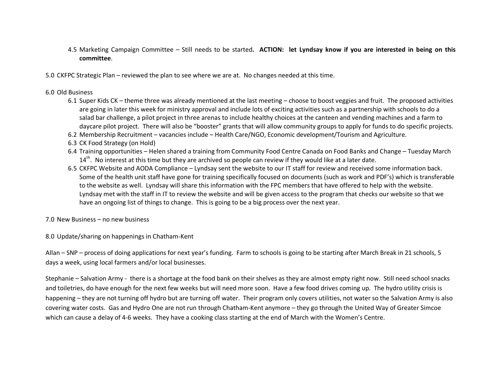- 4.5 Marketing Campaign Committee Still needs to be started**. ACTION: let Lyndsay know if you are interested in being on this committee**.
- 5.0 CKFPC Strategic Plan reviewed the plan to see where we are at. No changes needed at this time.
- 6.0 Old Business
	- 6.1 Super Kids CK theme three was already mentioned at the last meeting choose to boost veggies and fruit. The proposed activities are going in later this week for ministry approval and include lots of exciting activities such as a partnership with schools to do a salad bar challenge, a pilot project in three arenas to include healthy choices at the canteen and vending machines and a farm to daycare pilot project. There will also be "booster" grants that will allow community groups to apply for funds to do specific projects.
	- 6.2 Membership Recruitment vacancies include Health Care/NGO, Economic development/Tourism and Agriculture.
	- 6.3 CK Food Strategy (on Hold)
	- 6.4 Training opportunities Helen shared a training from Community Food Centre Canada on Food Banks and Change Tuesday March  $14<sup>th</sup>$ . No interest at this time but they are archived so people can review if they would like at a later date.
	- 6.5 CKFPC Website and AODA Compliance Lyndsay sent the website to our IT staff for review and received some information back. Some of the health unit staff have gone for training specifically focused on documents (such as work and PDF's) which is transferable to the website as well. Lyndsay will share this information with the FPC members that have offered to help with the website. Lyndsay met with the staff in IT to review the website and will be given access to the program that checks our website so that we have an ongoing list of things to change. This is going to be a big process over the next year.
- 7.0 New Business no new business
- 8.0 Update/sharing on happenings in Chatham-Kent

Allan – SNP – process of doing applications for next year's funding. Farm to schools is going to be starting after March Break in 21 schools, 5 days a week, using local farmers and/or local businesses.

Stephanie – Salvation Army - there is a shortage at the food bank on their shelves as they are almost empty right now. Still need school snacks and toiletries, do have enough for the next few weeks but will need more soon. Have a few food drives coming up. The hydro utility crisis is happening – they are not turning off hydro but are turning off water. Their program only covers utilities, not water so the Salvation Army is also covering water costs. Gas and Hydro One are not run through Chatham-Kent anymore – they go through the United Way of Greater Simcoe which can cause a delay of 4-6 weeks. They have a cooking class starting at the end of March with the Women's Centre.